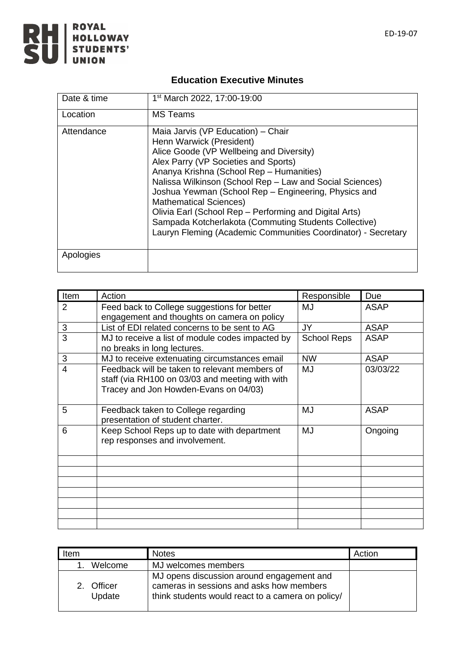

## **Education Executive Minutes**

| Date & time | 1 <sup>st</sup> March 2022, 17:00-19:00                                                                                                                                                                                                                                                                                                                                                                                                                                                                                                 |
|-------------|-----------------------------------------------------------------------------------------------------------------------------------------------------------------------------------------------------------------------------------------------------------------------------------------------------------------------------------------------------------------------------------------------------------------------------------------------------------------------------------------------------------------------------------------|
| Location    | <b>MS</b> Teams                                                                                                                                                                                                                                                                                                                                                                                                                                                                                                                         |
| Attendance  | Maia Jarvis (VP Education) - Chair<br>Henn Warwick (President)<br>Alice Goode (VP Wellbeing and Diversity)<br>Alex Parry (VP Societies and Sports)<br>Ananya Krishna (School Rep - Humanities)<br>Nalissa Wilkinson (School Rep - Law and Social Sciences)<br>Joshua Yewman (School Rep - Engineering, Physics and<br><b>Mathematical Sciences)</b><br>Olivia Earl (School Rep – Performing and Digital Arts)<br>Sampada Kotcherlakota (Commuting Students Collective)<br>Lauryn Fleming (Academic Communities Coordinator) - Secretary |
| Apologies   |                                                                                                                                                                                                                                                                                                                                                                                                                                                                                                                                         |

| Item | Action                                                                                                                                    | Responsible        | Due         |
|------|-------------------------------------------------------------------------------------------------------------------------------------------|--------------------|-------------|
| 2    | Feed back to College suggestions for better                                                                                               | MJ                 | <b>ASAP</b> |
|      | engagement and thoughts on camera on policy                                                                                               |                    |             |
| 3    | List of EDI related concerns to be sent to AG                                                                                             | JY                 | <b>ASAP</b> |
| 3    | MJ to receive a list of module codes impacted by<br>no breaks in long lectures.                                                           | <b>School Reps</b> | ASAP        |
| 3    | MJ to receive extenuating circumstances email                                                                                             | <b>NW</b>          | <b>ASAP</b> |
| 4    | Feedback will be taken to relevant members of<br>staff (via RH100 on 03/03 and meeting with with<br>Tracey and Jon Howden-Evans on 04/03) | MJ                 | 03/03/22    |
| 5    | Feedback taken to College regarding<br>presentation of student charter.                                                                   | MJ                 | <b>ASAP</b> |
| 6    | Keep School Reps up to date with department<br>rep responses and involvement.                                                             | MJ                 | Ongoing     |
|      |                                                                                                                                           |                    |             |
|      |                                                                                                                                           |                    |             |
|      |                                                                                                                                           |                    |             |
|      |                                                                                                                                           |                    |             |
|      |                                                                                                                                           |                    |             |
|      |                                                                                                                                           |                    |             |
|      |                                                                                                                                           |                    |             |

| Item                               | <b>Notes</b>                                                                                                                               | Action |
|------------------------------------|--------------------------------------------------------------------------------------------------------------------------------------------|--------|
| Welcome                            | MJ welcomes members                                                                                                                        |        |
| Officer<br>$\mathcal{P}$<br>Update | MJ opens discussion around engagement and<br>cameras in sessions and asks how members<br>think students would react to a camera on policy/ |        |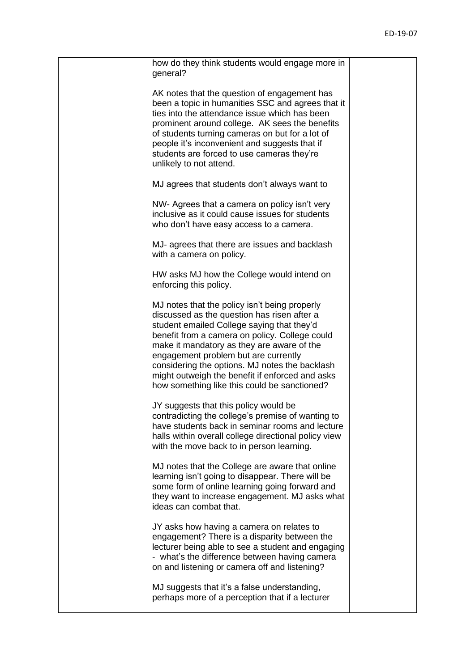| how do they think students would engage more in<br>general?                                                                                                                                                                                                                                                                                                                                                                             |  |
|-----------------------------------------------------------------------------------------------------------------------------------------------------------------------------------------------------------------------------------------------------------------------------------------------------------------------------------------------------------------------------------------------------------------------------------------|--|
| AK notes that the question of engagement has<br>been a topic in humanities SSC and agrees that it<br>ties into the attendance issue which has been<br>prominent around college. AK sees the benefits<br>of students turning cameras on but for a lot of<br>people it's inconvenient and suggests that if<br>students are forced to use cameras they're<br>unlikely to not attend.                                                       |  |
| MJ agrees that students don't always want to                                                                                                                                                                                                                                                                                                                                                                                            |  |
| NW- Agrees that a camera on policy isn't very<br>inclusive as it could cause issues for students<br>who don't have easy access to a camera.                                                                                                                                                                                                                                                                                             |  |
| MJ- agrees that there are issues and backlash<br>with a camera on policy.                                                                                                                                                                                                                                                                                                                                                               |  |
| HW asks MJ how the College would intend on<br>enforcing this policy.                                                                                                                                                                                                                                                                                                                                                                    |  |
| MJ notes that the policy isn't being properly<br>discussed as the question has risen after a<br>student emailed College saying that they'd<br>benefit from a camera on policy. College could<br>make it mandatory as they are aware of the<br>engagement problem but are currently<br>considering the options. MJ notes the backlash<br>might outweigh the benefit if enforced and asks<br>how something like this could be sanctioned? |  |
| JY suggests that this policy would be<br>contradicting the college's premise of wanting to<br>have students back in seminar rooms and lecture<br>halls within overall college directional policy view<br>with the move back to in person learning.                                                                                                                                                                                      |  |
| MJ notes that the College are aware that online<br>learning isn't going to disappear. There will be<br>some form of online learning going forward and<br>they want to increase engagement. MJ asks what<br>ideas can combat that.                                                                                                                                                                                                       |  |
| JY asks how having a camera on relates to<br>engagement? There is a disparity between the<br>lecturer being able to see a student and engaging<br>- what's the difference between having camera<br>on and listening or camera off and listening?                                                                                                                                                                                        |  |
| MJ suggests that it's a false understanding,<br>perhaps more of a perception that if a lecturer                                                                                                                                                                                                                                                                                                                                         |  |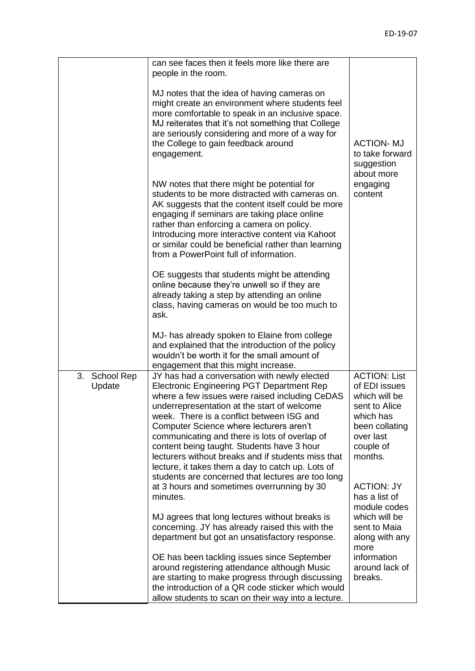|                            | can see faces then it feels more like there are<br>people in the room.                                                                                                                                                                                                                                                                                                                                                                                                                                                                                   |                                                                                                                                            |
|----------------------------|----------------------------------------------------------------------------------------------------------------------------------------------------------------------------------------------------------------------------------------------------------------------------------------------------------------------------------------------------------------------------------------------------------------------------------------------------------------------------------------------------------------------------------------------------------|--------------------------------------------------------------------------------------------------------------------------------------------|
|                            | MJ notes that the idea of having cameras on<br>might create an environment where students feel<br>more comfortable to speak in an inclusive space.<br>MJ reiterates that it's not something that College<br>are seriously considering and more of a way for<br>the College to gain feedback around<br>engagement.                                                                                                                                                                                                                                        | <b>ACTION-MJ</b><br>to take forward<br>suggestion<br>about more                                                                            |
|                            | NW notes that there might be potential for<br>students to be more distracted with cameras on.<br>AK suggests that the content itself could be more<br>engaging if seminars are taking place online<br>rather than enforcing a camera on policy.<br>Introducing more interactive content via Kahoot<br>or similar could be beneficial rather than learning<br>from a PowerPoint full of information.                                                                                                                                                      | engaging<br>content                                                                                                                        |
|                            | OE suggests that students might be attending<br>online because they're unwell so if they are<br>already taking a step by attending an online<br>class, having cameras on would be too much to<br>ask.                                                                                                                                                                                                                                                                                                                                                    |                                                                                                                                            |
|                            | MJ- has already spoken to Elaine from college<br>and explained that the introduction of the policy<br>wouldn't be worth it for the small amount of<br>engagement that this might increase.                                                                                                                                                                                                                                                                                                                                                               |                                                                                                                                            |
| 3.<br>School Rep<br>Update | JY has had a conversation with newly elected<br><b>Electronic Engineering PGT Department Rep</b><br>where a few issues were raised including CeDAS<br>underrepresentation at the start of welcome<br>week. There is a conflict between ISG and<br>Computer Science where lecturers aren't<br>communicating and there is lots of overlap of<br>content being taught. Students have 3 hour<br>lecturers without breaks and if students miss that<br>lecture, it takes them a day to catch up. Lots of<br>students are concerned that lectures are too long | <b>ACTION: List</b><br>of EDI issues<br>which will be<br>sent to Alice<br>which has<br>been collating<br>over last<br>couple of<br>months. |
|                            | at 3 hours and sometimes overrunning by 30<br>minutes.                                                                                                                                                                                                                                                                                                                                                                                                                                                                                                   | <b>ACTION: JY</b><br>has a list of<br>module codes                                                                                         |
|                            | MJ agrees that long lectures without breaks is<br>concerning. JY has already raised this with the<br>department but got an unsatisfactory response.                                                                                                                                                                                                                                                                                                                                                                                                      | which will be<br>sent to Maia<br>along with any<br>more                                                                                    |
|                            | OE has been tackling issues since September<br>around registering attendance although Music<br>are starting to make progress through discussing<br>the introduction of a QR code sticker which would<br>allow students to scan on their way into a lecture.                                                                                                                                                                                                                                                                                              | information<br>around lack of<br>breaks.                                                                                                   |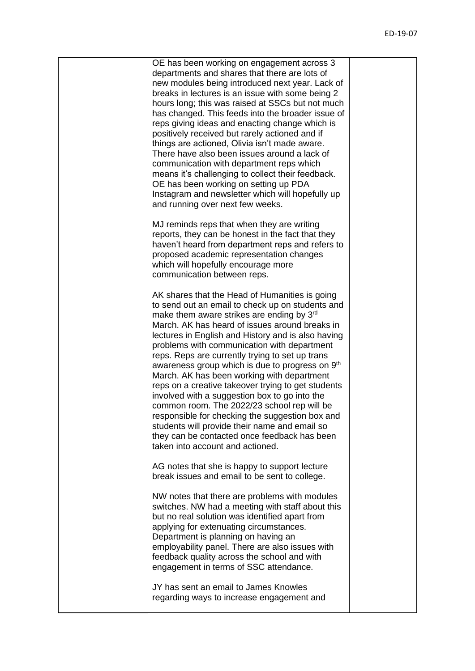| OE has been working on engagement across 3<br>departments and shares that there are lots of<br>new modules being introduced next year. Lack of<br>breaks in lectures is an issue with some being 2<br>hours long; this was raised at SSCs but not much<br>has changed. This feeds into the broader issue of<br>reps giving ideas and enacting change which is<br>positively received but rarely actioned and if<br>things are actioned, Olivia isn't made aware.<br>There have also been issues around a lack of<br>communication with department reps which<br>means it's challenging to collect their feedback.<br>OE has been working on setting up PDA<br>Instagram and newsletter which will hopefully up<br>and running over next few weeks.                                                                     |  |
|------------------------------------------------------------------------------------------------------------------------------------------------------------------------------------------------------------------------------------------------------------------------------------------------------------------------------------------------------------------------------------------------------------------------------------------------------------------------------------------------------------------------------------------------------------------------------------------------------------------------------------------------------------------------------------------------------------------------------------------------------------------------------------------------------------------------|--|
| MJ reminds reps that when they are writing<br>reports, they can be honest in the fact that they<br>haven't heard from department reps and refers to<br>proposed academic representation changes<br>which will hopefully encourage more<br>communication between reps.                                                                                                                                                                                                                                                                                                                                                                                                                                                                                                                                                  |  |
| AK shares that the Head of Humanities is going<br>to send out an email to check up on students and<br>make them aware strikes are ending by $3rd$<br>March. AK has heard of issues around breaks in<br>lectures in English and History and is also having<br>problems with communication with department<br>reps. Reps are currently trying to set up trans<br>awareness group which is due to progress on 9 <sup>th</sup><br>March. AK has been working with department<br>reps on a creative takeover trying to get students<br>involved with a suggestion box to go into the<br>common room. The 2022/23 school rep will be<br>responsible for checking the suggestion box and<br>students will provide their name and email so<br>they can be contacted once feedback has been<br>taken into account and actioned. |  |
| AG notes that she is happy to support lecture<br>break issues and email to be sent to college.                                                                                                                                                                                                                                                                                                                                                                                                                                                                                                                                                                                                                                                                                                                         |  |
| NW notes that there are problems with modules<br>switches. NW had a meeting with staff about this<br>but no real solution was identified apart from<br>applying for extenuating circumstances.<br>Department is planning on having an<br>employability panel. There are also issues with<br>feedback quality across the school and with<br>engagement in terms of SSC attendance.                                                                                                                                                                                                                                                                                                                                                                                                                                      |  |
| JY has sent an email to James Knowles<br>regarding ways to increase engagement and                                                                                                                                                                                                                                                                                                                                                                                                                                                                                                                                                                                                                                                                                                                                     |  |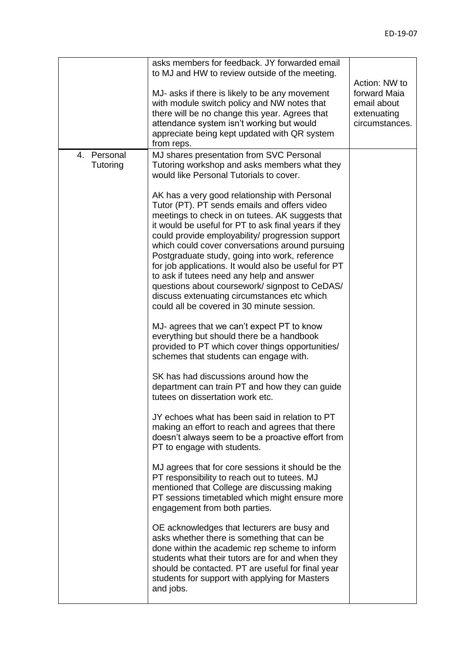|             | asks members for feedback. JY forwarded email        |                |
|-------------|------------------------------------------------------|----------------|
|             | to MJ and HW to review outside of the meeting.       |                |
|             |                                                      | Action: NW to  |
|             | MJ- asks if there is likely to be any movement       | forward Maia   |
|             | with module switch policy and NW notes that          | email about    |
|             | there will be no change this year. Agrees that       | extenuating    |
|             | attendance system isn't working but would            | circumstances. |
|             | appreciate being kept updated with QR system         |                |
|             | from reps.                                           |                |
| 4. Personal | MJ shares presentation from SVC Personal             |                |
| Tutoring    | Tutoring workshop and asks members what they         |                |
|             | would like Personal Tutorials to cover.              |                |
|             |                                                      |                |
|             | AK has a very good relationship with Personal        |                |
|             | Tutor (PT). PT sends emails and offers video         |                |
|             | meetings to check in on tutees. AK suggests that     |                |
|             | it would be useful for PT to ask final years if they |                |
|             | could provide employability/ progression support     |                |
|             | which could cover conversations around pursuing      |                |
|             | Postgraduate study, going into work, reference       |                |
|             | for job applications. It would also be useful for PT |                |
|             | to ask if tutees need any help and answer            |                |
|             | questions about coursework/signpost to CeDAS/        |                |
|             | discuss extenuating circumstances etc which          |                |
|             | could all be covered in 30 minute session.           |                |
|             |                                                      |                |
|             | MJ- agrees that we can't expect PT to know           |                |
|             | everything but should there be a handbook            |                |
|             | provided to PT which cover things opportunities/     |                |
|             | schemes that students can engage with.               |                |
|             |                                                      |                |
|             | SK has had discussions around how the                |                |
|             | department can train PT and how they can guide       |                |
|             | tutees on dissertation work etc.                     |                |
|             |                                                      |                |
|             | JY echoes what has been said in relation to PT       |                |
|             | making an effort to reach and agrees that there      |                |
|             | doesn't always seem to be a proactive effort from    |                |
|             | PT to engage with students.                          |                |
|             |                                                      |                |
|             | MJ agrees that for core sessions it should be the    |                |
|             | PT responsibility to reach out to tutees. MJ         |                |
|             | mentioned that College are discussing making         |                |
|             | PT sessions timetabled which might ensure more       |                |
|             | engagement from both parties.                        |                |
|             |                                                      |                |
|             | OE acknowledges that lecturers are busy and          |                |
|             | asks whether there is something that can be          |                |
|             | done within the academic rep scheme to inform        |                |
|             | students what their tutors are for and when they     |                |
|             | should be contacted. PT are useful for final year    |                |
|             | students for support with applying for Masters       |                |
|             | and jobs.                                            |                |
|             |                                                      |                |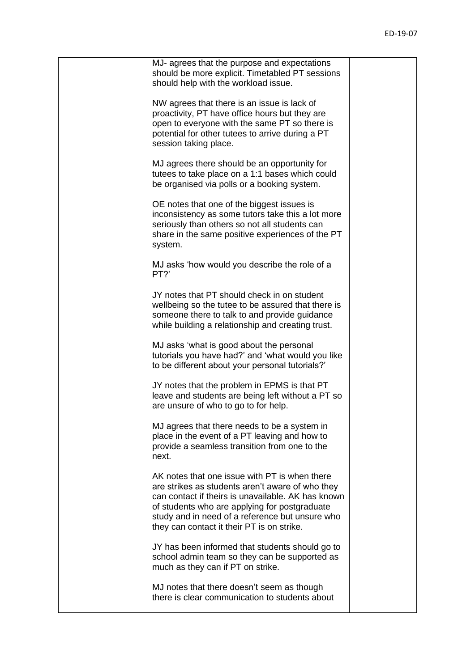| MJ- agrees that the purpose and expectations<br>should be more explicit. Timetabled PT sessions<br>should help with the workload issue.                                                                                                                                                                   |  |
|-----------------------------------------------------------------------------------------------------------------------------------------------------------------------------------------------------------------------------------------------------------------------------------------------------------|--|
| NW agrees that there is an issue is lack of<br>proactivity, PT have office hours but they are<br>open to everyone with the same PT so there is<br>potential for other tutees to arrive during a PT<br>session taking place.                                                                               |  |
| MJ agrees there should be an opportunity for<br>tutees to take place on a 1:1 bases which could<br>be organised via polls or a booking system.                                                                                                                                                            |  |
| OE notes that one of the biggest issues is<br>inconsistency as some tutors take this a lot more<br>seriously than others so not all students can<br>share in the same positive experiences of the PT<br>system.                                                                                           |  |
| MJ asks 'how would you describe the role of a<br>PT?'                                                                                                                                                                                                                                                     |  |
| JY notes that PT should check in on student<br>wellbeing so the tutee to be assured that there is<br>someone there to talk to and provide guidance<br>while building a relationship and creating trust.                                                                                                   |  |
| MJ asks 'what is good about the personal<br>tutorials you have had?' and 'what would you like<br>to be different about your personal tutorials?'                                                                                                                                                          |  |
| JY notes that the problem in EPMS is that PT<br>leave and students are being left without a PT so<br>are unsure of who to go to for help.                                                                                                                                                                 |  |
| MJ agrees that there needs to be a system in<br>place in the event of a PT leaving and how to<br>provide a seamless transition from one to the<br>next.                                                                                                                                                   |  |
| AK notes that one issue with PT is when there<br>are strikes as students aren't aware of who they<br>can contact if theirs is unavailable. AK has known<br>of students who are applying for postgraduate<br>study and in need of a reference but unsure who<br>they can contact it their PT is on strike. |  |
| JY has been informed that students should go to<br>school admin team so they can be supported as<br>much as they can if PT on strike.                                                                                                                                                                     |  |
| MJ notes that there doesn't seem as though<br>there is clear communication to students about                                                                                                                                                                                                              |  |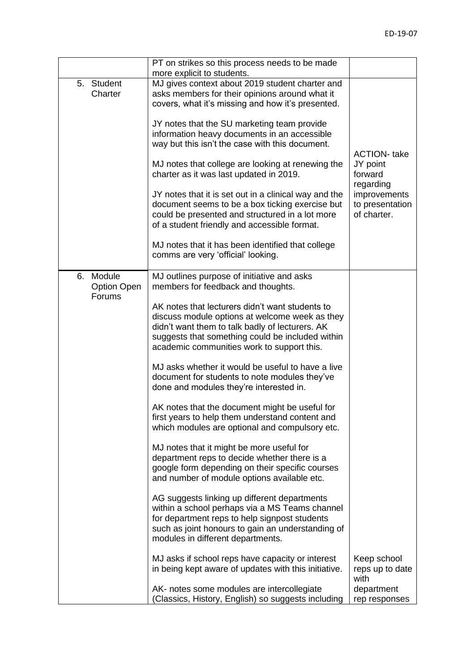|                                              | PT on strikes so this process needs to be made<br>more explicit to students.                                                                                                                                                                           |                                                             |
|----------------------------------------------|--------------------------------------------------------------------------------------------------------------------------------------------------------------------------------------------------------------------------------------------------------|-------------------------------------------------------------|
| 5. Student<br>Charter                        | MJ gives context about 2019 student charter and<br>asks members for their opinions around what it<br>covers, what it's missing and how it's presented.                                                                                                 |                                                             |
|                                              | JY notes that the SU marketing team provide<br>information heavy documents in an accessible<br>way but this isn't the case with this document.                                                                                                         | <b>ACTION-</b> take                                         |
|                                              | MJ notes that college are looking at renewing the<br>charter as it was last updated in 2019.                                                                                                                                                           | JY point<br>forward                                         |
|                                              | JY notes that it is set out in a clinical way and the<br>document seems to be a box ticking exercise but<br>could be presented and structured in a lot more<br>of a student friendly and accessible format.                                            | regarding<br>improvements<br>to presentation<br>of charter. |
|                                              | MJ notes that it has been identified that college<br>comms are very 'official' looking.                                                                                                                                                                |                                                             |
| Module<br>6.<br><b>Option Open</b><br>Forums | MJ outlines purpose of initiative and asks<br>members for feedback and thoughts.                                                                                                                                                                       |                                                             |
|                                              | AK notes that lecturers didn't want students to<br>discuss module options at welcome week as they<br>didn't want them to talk badly of lecturers. AK<br>suggests that something could be included within<br>academic communities work to support this. |                                                             |
|                                              | MJ asks whether it would be useful to have a live<br>document for students to note modules they've<br>done and modules they're interested in.                                                                                                          |                                                             |
|                                              | AK notes that the document might be useful for<br>first years to help them understand content and<br>which modules are optional and compulsory etc.                                                                                                    |                                                             |
|                                              | MJ notes that it might be more useful for<br>department reps to decide whether there is a<br>google form depending on their specific courses<br>and number of module options available etc.                                                            |                                                             |
|                                              | AG suggests linking up different departments<br>within a school perhaps via a MS Teams channel<br>for department reps to help signpost students<br>such as joint honours to gain an understanding of<br>modules in different departments.              |                                                             |
|                                              | MJ asks if school reps have capacity or interest<br>in being kept aware of updates with this initiative.                                                                                                                                               | Keep school<br>reps up to date<br>with                      |
|                                              | AK- notes some modules are intercollegiate<br>Classics, History, English) so suggests including                                                                                                                                                        | department<br>rep responses                                 |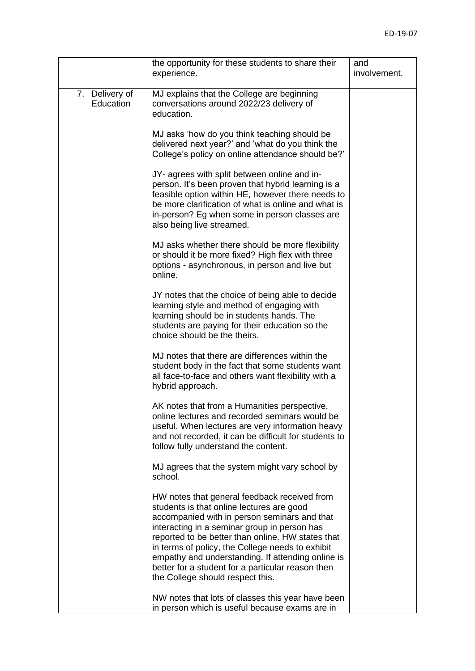|                             | the opportunity for these students to share their<br>experience.                                                                                                                                                                                                                                                                                                                                                                                 | and<br>involvement. |
|-----------------------------|--------------------------------------------------------------------------------------------------------------------------------------------------------------------------------------------------------------------------------------------------------------------------------------------------------------------------------------------------------------------------------------------------------------------------------------------------|---------------------|
| 7. Delivery of<br>Education | MJ explains that the College are beginning<br>conversations around 2022/23 delivery of<br>education.                                                                                                                                                                                                                                                                                                                                             |                     |
|                             | MJ asks 'how do you think teaching should be<br>delivered next year?' and 'what do you think the<br>College's policy on online attendance should be?'                                                                                                                                                                                                                                                                                            |                     |
|                             | JY- agrees with split between online and in-<br>person. It's been proven that hybrid learning is a<br>feasible option within HE, however there needs to<br>be more clarification of what is online and what is<br>in-person? Eg when some in person classes are<br>also being live streamed.                                                                                                                                                     |                     |
|                             | MJ asks whether there should be more flexibility<br>or should it be more fixed? High flex with three<br>options - asynchronous, in person and live but<br>online.                                                                                                                                                                                                                                                                                |                     |
|                             | JY notes that the choice of being able to decide<br>learning style and method of engaging with<br>learning should be in students hands. The<br>students are paying for their education so the<br>choice should be the theirs.                                                                                                                                                                                                                    |                     |
|                             | MJ notes that there are differences within the<br>student body in the fact that some students want<br>all face-to-face and others want flexibility with a<br>hybrid approach.                                                                                                                                                                                                                                                                    |                     |
|                             | AK notes that from a Humanities perspective,<br>online lectures and recorded seminars would be<br>useful. When lectures are very information heavy<br>and not recorded, it can be difficult for students to<br>follow fully understand the content.                                                                                                                                                                                              |                     |
|                             | MJ agrees that the system might vary school by<br>school.                                                                                                                                                                                                                                                                                                                                                                                        |                     |
|                             | HW notes that general feedback received from<br>students is that online lectures are good<br>accompanied with in person seminars and that<br>interacting in a seminar group in person has<br>reported to be better than online. HW states that<br>in terms of policy, the College needs to exhibit<br>empathy and understanding. If attending online is<br>better for a student for a particular reason then<br>the College should respect this. |                     |
|                             | NW notes that lots of classes this year have been<br>in person which is useful because exams are in                                                                                                                                                                                                                                                                                                                                              |                     |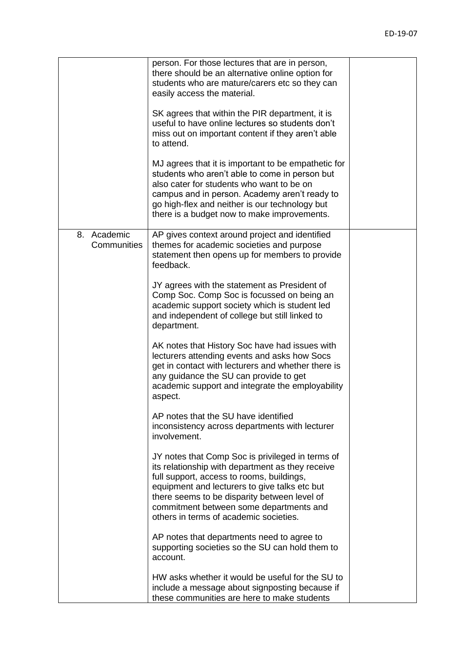|                               | person. For those lectures that are in person,<br>there should be an alternative online option for<br>students who are mature/carers etc so they can<br>easily access the material.<br>SK agrees that within the PIR department, it is<br>useful to have online lectures so students don't<br>miss out on important content if they aren't able<br>to attend.<br>MJ agrees that it is important to be empathetic for<br>students who aren't able to come in person but<br>also cater for students who want to be on<br>campus and in person. Academy aren't ready to<br>go high-flex and neither is our technology but<br>there is a budget now to make improvements.                                                                                                                                                                                                                                                                                       |  |
|-------------------------------|-------------------------------------------------------------------------------------------------------------------------------------------------------------------------------------------------------------------------------------------------------------------------------------------------------------------------------------------------------------------------------------------------------------------------------------------------------------------------------------------------------------------------------------------------------------------------------------------------------------------------------------------------------------------------------------------------------------------------------------------------------------------------------------------------------------------------------------------------------------------------------------------------------------------------------------------------------------|--|
| Academic<br>8.<br>Communities | AP gives context around project and identified<br>themes for academic societies and purpose<br>statement then opens up for members to provide<br>feedback.<br>JY agrees with the statement as President of<br>Comp Soc. Comp Soc is focussed on being an<br>academic support society which is student led<br>and independent of college but still linked to<br>department.<br>AK notes that History Soc have had issues with<br>lecturers attending events and asks how Socs<br>get in contact with lecturers and whether there is<br>any guidance the SU can provide to get<br>academic support and integrate the employability<br>aspect.<br>AP notes that the SU have identified<br>inconsistency across departments with lecturer<br>involvement.<br>JY notes that Comp Soc is privileged in terms of<br>its relationship with department as they receive<br>full support, access to rooms, buildings,<br>equipment and lecturers to give talks etc but |  |
|                               | there seems to be disparity between level of<br>commitment between some departments and<br>others in terms of academic societies.<br>AP notes that departments need to agree to<br>supporting societies so the SU can hold them to<br>account.<br>HW asks whether it would be useful for the SU to<br>include a message about signposting because if<br>these communities are here to make students                                                                                                                                                                                                                                                                                                                                                                                                                                                                                                                                                         |  |